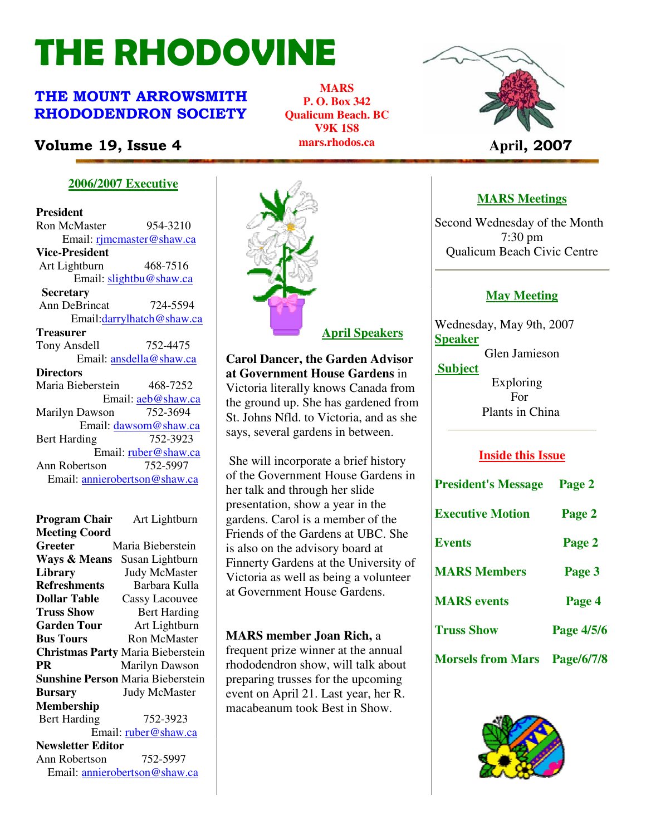# THE RHODOVINE

# THE MOUNT ARROWSMITH RHODODENDRON SOCIETY

# **Volume 19, Issue 4 Aprille 19, Issue 4 Aprille 19, Issue 4 Aprille 19, 2007**

**MARS P. O. Box 342 Qualicum Beach. BC V9K 1S8 mars.rhodos.ca** 



#### **2006/2007 Executive**

**President**  Ron McMaster 954-3210 Email: rjmcmaster@shaw.ca **Vice-President**  Art Lightburn 468-7516 Email: slightbu@shaw.ca **Secretary** Ann DeBrincat 724-5594 Email:darrylhatch@shaw.ca **Treasurer** Tony Ansdell 752-4475 Email: ansdella@shaw.ca **Directors**  Maria Bieberstein 468-7252 Email: aeb@shaw.ca Marilyn Dawson 752-3694 Email: dawsom@shaw.ca Bert Harding 752-3923 Email: ruber@shaw.ca Ann Robertson 752-5997 Email: annierobertson@shaw.ca

#### **Program Chair** Art Lightburn **Meeting Coord Greeter** Maria Bieberstein **Ways & Means** Susan Lightburn **Library** Judy McMaster<br> **Refreshments** Barbara Kulla **Refreshments Dollar Table** Cassy Lacouvee **Truss Show** Bert Harding **Garden Tour** Art Lightburn **Bus Tours Ron McMaster Christmas Party** Maria Bieberstein **PR Marilyn Dawson Sunshine Person** Maria Bieberstein **Bursary** Judy McMaster **Membership**  Bert Harding 752-3923 Email: ruber@shaw.ca

**Newsletter Editor** Ann Robertson 752-5997 Email: annierobertson@shaw.ca



**Carol Dancer, the Garden Advisor at Government House Gardens** in Victoria literally knows Canada from the ground up. She has gardened from St. Johns Nfld. to Victoria, and as she says, several gardens in between.

 She will incorporate a brief history of the Government House Gardens in her talk and through her slide presentation, show a year in the gardens. Carol is a member of the Friends of the Gardens at UBC. She is also on the advisory board at Finnerty Gardens at the University of Victoria as well as being a volunteer at Government House Gardens.

### **MARS member Joan Rich,** a

 $\begin{bmatrix} 2 & 3 & 3 \ 3 & 4 & 5 \end{bmatrix}$  The Rhodoving 2 The Rhodovine 3 The Rhodovine 3 The Rhodovine 3 The Rhodovine 3 The Rhodovine 3 The Rhodovine 3 The Rhodovine 3 The Rhodovine 3 The Rhodovine 3 The Rhodovine 3 The Rhodovine frequent prize winner at the annual rhododendron show, will talk about preparing trusses for the upcoming event on April 21. Last year, her R. macabeanum took Best in Show.

## **MARS Meetings**

Second Wednesday of the Month 7:30 pm Qualicum Beach Civic Centre

### **May Meeting**

Wednesday, May 9th, 2007 **Speaker** Glen Jamieson  **Subject** Exploring

 For Plants in China

### **Inside this Issue**

| <b>President's Message</b> | Page 2     |  |
|----------------------------|------------|--|
| <b>Executive Motion</b>    | Page 2     |  |
| <b>Events</b>              | Page 2     |  |
| <b>MARS Members</b>        | Page 3     |  |
| <b>MARS</b> events         | Page 4     |  |
| <b>Truss Show</b>          | Page 4/5/6 |  |
| <b>Morsels from Mars</b>   | Page/6/7/8 |  |

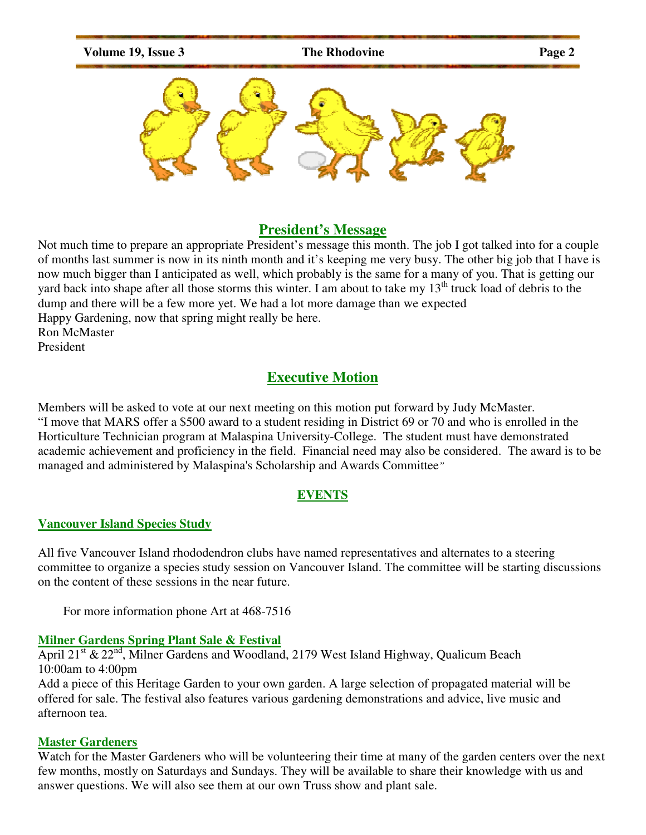

#### **President's Message**

Not much time to prepare an appropriate President's message this month. The job I got talked into for a couple of months last summer is now in its ninth month and it's keeping me very busy. The other big job that I have is now much bigger than I anticipated as well, which probably is the same for a many of you. That is getting our yard back into shape after all those storms this winter. I am about to take my  $13<sup>th</sup>$  truck load of debris to the dump and there will be a few more yet. We had a lot more damage than we expected Happy Gardening, now that spring might really be here. Ron McMaster President

# **Executive Motion**

Members will be asked to vote at our next meeting on this motion put forward by Judy McMaster. "I move that MARS offer a \$500 award to a student residing in District 69 or 70 and who is enrolled in the Horticulture Technician program at Malaspina University-College. The student must have demonstrated academic achievement and proficiency in the field. Financial need may also be considered. The award is to be managed and administered by Malaspina's Scholarship and Awards Committee*"*

### **EVENTS**

#### **Vancouver Island Species Study**

All five Vancouver Island rhododendron clubs have named representatives and alternates to a steering committee to organize a species study session on Vancouver Island. The committee will be starting discussions on the content of these sessions in the near future.

For more information phone Art at 468-7516

#### **Milner Gardens Spring Plant Sale & Festival**

April  $21<sup>st</sup>$  &  $22<sup>nd</sup>$ , Milner Gardens and Woodland, 2179 West Island Highway, Qualicum Beach 10:00am to 4:00pm

Add a piece of this Heritage Garden to your own garden. A large selection of propagated material will be offered for sale. The festival also features various gardening demonstrations and advice, live music and afternoon tea.

#### **Master Gardeners**

Watch for the Master Gardeners who will be volunteering their time at many of the garden centers over the next few months, mostly on Saturdays and Sundays. They will be available to share their knowledge with us and answer questions. We will also see them at our own Truss show and plant sale.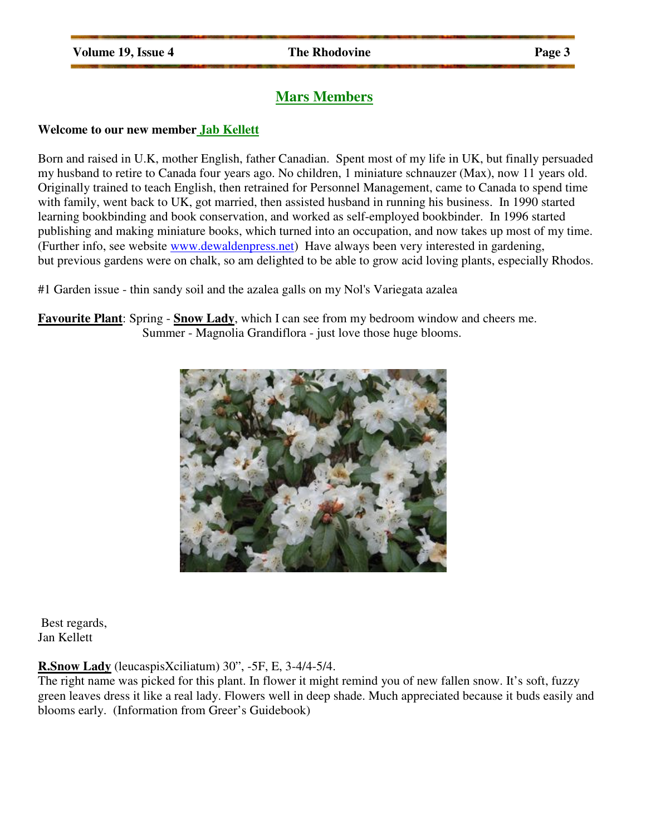# **Mars Members**

#### **Welcome to our new member Jab Kellett**

Born and raised in U.K, mother English, father Canadian. Spent most of my life in UK, but finally persuaded my husband to retire to Canada four years ago. No children, 1 miniature schnauzer (Max), now 11 years old. Originally trained to teach English, then retrained for Personnel Management, came to Canada to spend time with family, went back to UK, got married, then assisted husband in running his business. In 1990 started learning bookbinding and book conservation, and worked as self-employed bookbinder. In 1996 started publishing and making miniature books, which turned into an occupation, and now takes up most of my time. (Further info, see website www.dewaldenpress.net) Have always been very interested in gardening, but previous gardens were on chalk, so am delighted to be able to grow acid loving plants, especially Rhodos.

#1 Garden issue - thin sandy soil and the azalea galls on my Nol's Variegata azalea

**Favourite Plant**: Spring - **Snow Lady**, which I can see from my bedroom window and cheers me. Summer - Magnolia Grandiflora - just love those huge blooms.



 Best regards, Jan Kellett

#### **R.Snow Lady** (leucaspisXciliatum) 30", -5F, E, 3-4/4-5/4.

The right name was picked for this plant. In flower it might remind you of new fallen snow. It's soft, fuzzy green leaves dress it like a real lady. Flowers well in deep shade. Much appreciated because it buds easily and blooms early. (Information from Greer's Guidebook)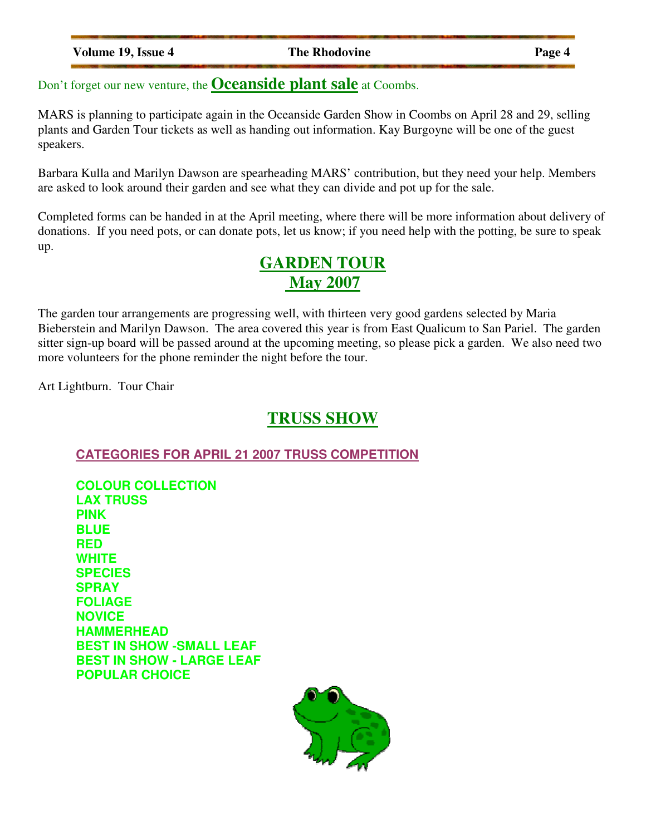| <b>Volume 19, Issue 4</b> |  |  |
|---------------------------|--|--|
|                           |  |  |

**The Rhodovine 2 Page 4** 

Don't forget our new venture, the **Oceanside plant sale** at Coombs.

MARS is planning to participate again in the Oceanside Garden Show in Coombs on April 28 and 29, selling plants and Garden Tour tickets as well as handing out information. Kay Burgoyne will be one of the guest speakers.

Barbara Kulla and Marilyn Dawson are spearheading MARS' contribution, but they need your help. Members are asked to look around their garden and see what they can divide and pot up for the sale.

Completed forms can be handed in at the April meeting, where there will be more information about delivery of donations. If you need pots, or can donate pots, let us know; if you need help with the potting, be sure to speak up.

# **GARDEN TOUR May 2007**

The garden tour arrangements are progressing well, with thirteen very good gardens selected by Maria Bieberstein and Marilyn Dawson. The area covered this year is from East Qualicum to San Pariel. The garden sitter sign-up board will be passed around at the upcoming meeting, so please pick a garden. We also need two more volunteers for the phone reminder the night before the tour.

Art Lightburn. Tour Chair

# **TRUSS SHOW**

**CATEGORIES FOR APRIL 21 2007 TRUSS COMPETITION**

**COLOUR COLLECTION LAX TRUSS PINK BLUE RED WHITE SPECIES SPRAY FOLIAGE NOVICE HAMMERHEAD BEST IN SHOW -SMALL LEAF BEST IN SHOW - LARGE LEAF POPULAR CHOICE** 

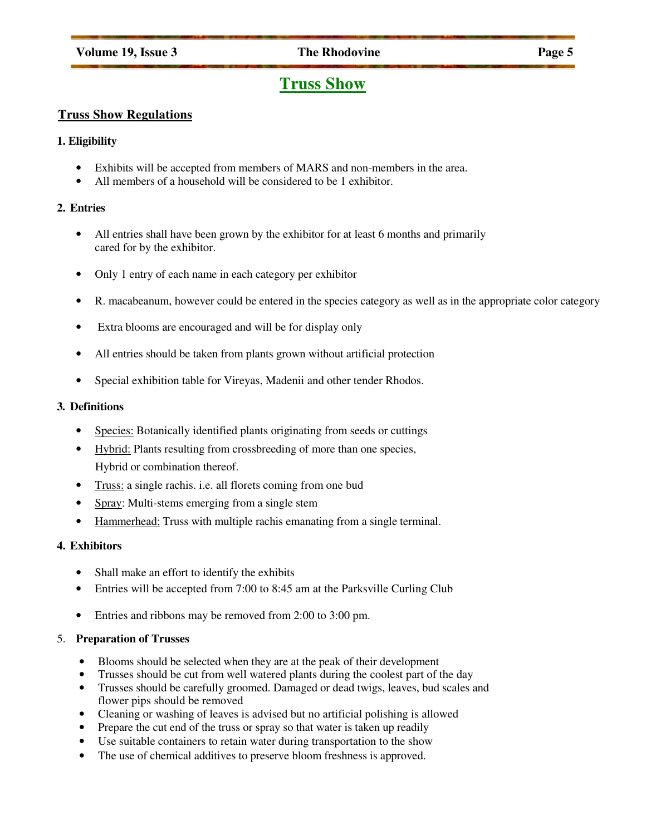#### **Volume 19, Issue 3** The Rhodovine Page 5

# **Truss Show**

#### **Truss Show Regulations**

#### **1. Eligibility**

- Exhibits will be accepted from members of MARS and non-members in the area.
- All members of a household will be considered to be 1 exhibitor.

#### **2. Entries**

- All entries shall have been grown by the exhibitor for at least 6 months and primarily cared for by the exhibitor.
- Only 1 entry of each name in each category per exhibitor
- R. macabeanum, however could be entered in the species category as well as in the appropriate color category
- Extra blooms are encouraged and will be for display only
- All entries should be taken from plants grown without artificial protection
- Special exhibition table for Vireyas, Madenii and other tender Rhodos.

#### **3. Definitions**

- Species: Botanically identified plants originating from seeds or cuttings
- Hybrid: Plants resulting from crossbreeding of more than one species, Hybrid or combination thereof.
- Truss: a single rachis. i.e. all florets coming from one bud
- Spray: Multi-stems emerging from a single stem
- Hammerhead: Truss with multiple rachis emanating from a single terminal.

#### **4. Exhibitors**

- Shall make an effort to identify the exhibits
- Entries will be accepted from 7:00 to 8:45 am at the Parksville Curling Club
- Entries and ribbons may be removed from 2:00 to 3:00 pm.

#### 5. **Preparation of Trusses**

- Blooms should be selected when they are at the peak of their development
- Trusses should be cut from well watered plants during the coolest part of the day
- Trusses should be carefully groomed. Damaged or dead twigs, leaves, bud scales and flower pips should be removed
- Cleaning or washing of leaves is advised but no artificial polishing is allowed
- Prepare the cut end of the truss or spray so that water is taken up readily
- Use suitable containers to retain water during transportation to the show
- The use of chemical additives to preserve bloom freshness is approved.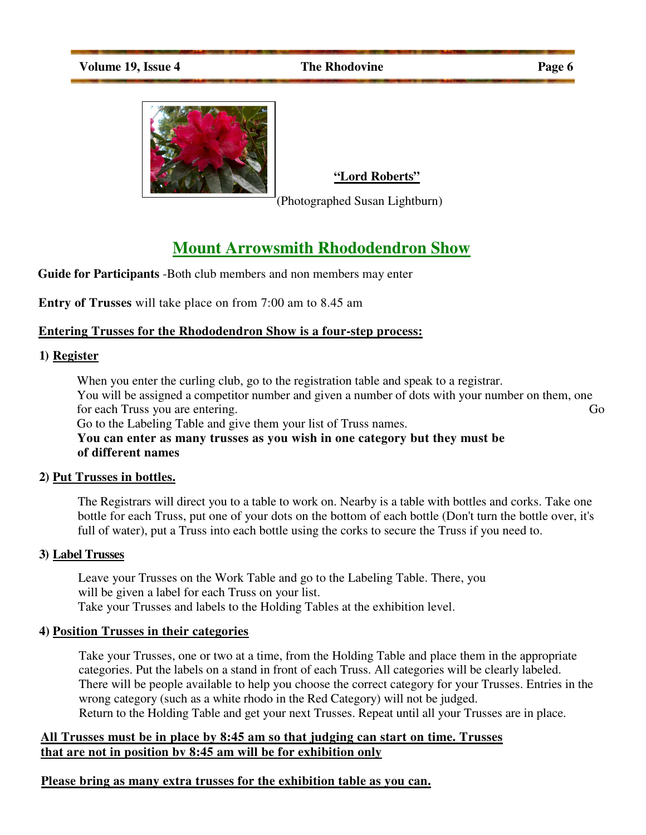

**"Lord Roberts"**

(Photographed Susan Lightburn)

# **Mount Arrowsmith Rhododendron Show**

**Guide for Participants** -Both club members and non members may enter

**Entry of Trusses** will take place on from 7:00 am to 8.45 am

#### **Entering Trusses for the Rhododendron Show is a four-step process:**

#### **1) Register**

When you enter the curling club, go to the registration table and speak to a registrar. You will be assigned a competitor number and given a number of dots with your number on them, one for each Truss you are entering. Go

Go to the Labeling Table and give them your list of Truss names.

**You can enter as many trusses as you wish in one category but they must be of different names**

#### **2) Put Trusses in bottles.**

The Registrars will direct you to a table to work on. Nearby is a table with bottles and corks. Take one bottle for each Truss, put one of your dots on the bottom of each bottle (Don't turn the bottle over, it's full of water), put a Truss into each bottle using the corks to secure the Truss if you need to.

#### **3) Label Trusses**

Leave your Trusses on the Work Table and go to the Labeling Table. There, you will be given a label for each Truss on your list. Take your Trusses and labels to the Holding Tables at the exhibition level.

#### **4) Position Trusses in their categories**

Take your Trusses, one or two at a time, from the Holding Table and place them in the appropriate categories. Put the labels on a stand in front of each Truss. All categories will be clearly labeled. There will be people available to help you choose the correct category for your Trusses. Entries in the wrong category (such as a white rhodo in the Red Category) will not be judged. Return to the Holding Table and get your next Trusses. Repeat until all your Trusses are in place.

#### **All Trusses must be in place by 8:45 am so that judging can start on time. Trusses that are not in position bv 8:45 am will be for exhibition only**

### **Please bring as many extra trusses for the exhibition table as you can.**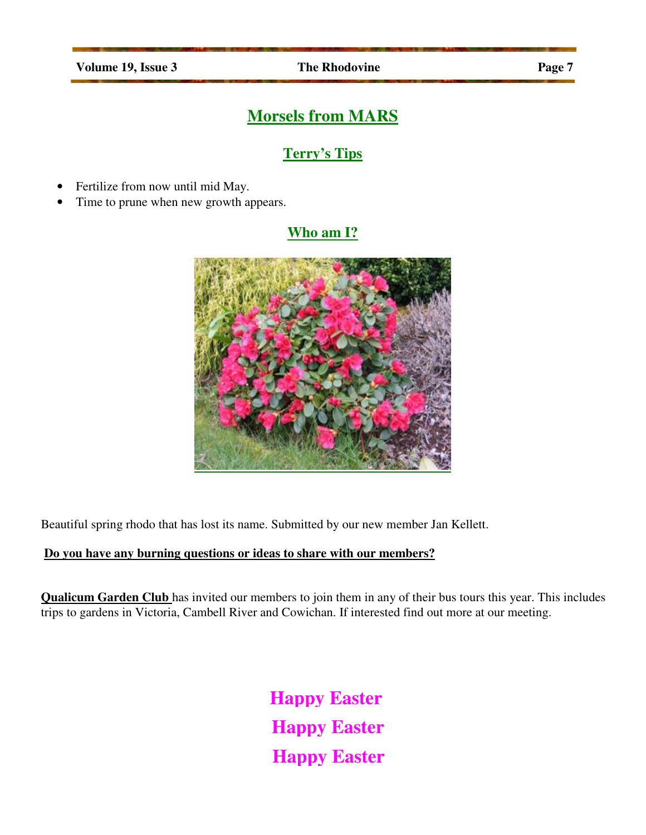# **Morsels from MARS**

# **Terry's Tips**

- Fertilize from now until mid May.
- Time to prune when new growth appears.

### **Who am I?**



Beautiful spring rhodo that has lost its name. Submitted by our new member Jan Kellett.

### **Do you have any burning questions or ideas to share with our members?**

**Qualicum Garden Club** has invited our members to join them in any of their bus tours this year. This includes trips to gardens in Victoria, Cambell River and Cowichan. If interested find out more at our meeting.

> **Happy Easter Happy Easter Happy Easter**